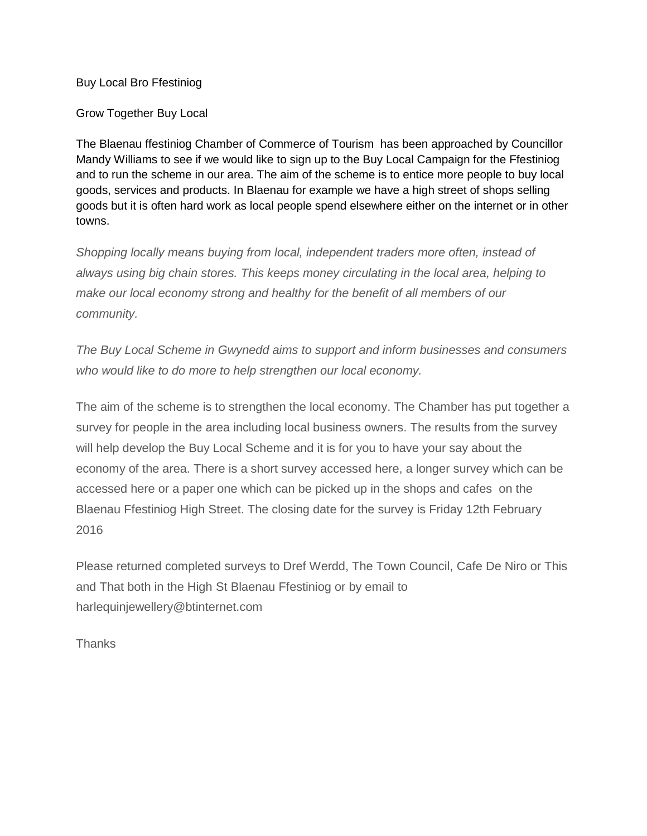## Buy Local Bro Ffestiniog

Grow Together Buy Local

The Blaenau ffestiniog Chamber of Commerce of Tourism has been approached by Councillor Mandy Williams to see if we would like to sign up to the Buy Local Campaign for the Ffestiniog and to run the scheme in our area. The aim of the scheme is to entice more people to buy local goods, services and products. In Blaenau for example we have a high street of shops selling goods but it is often hard work as local people spend elsewhere either on the internet or in other towns.

*Shopping locally means buying from local, independent traders more often, instead of always using big chain stores. This keeps money circulating in the local area, helping to make our local economy strong and healthy for the benefit of all members of our community.*

*The Buy Local Scheme in Gwynedd aims to support and inform businesses and consumers who would like to do more to help strengthen our local economy.* 

The aim of the scheme is to strengthen the local economy. The Chamber has put together a survey for people in the area including local business owners. The results from the survey will help develop the Buy Local Scheme and it is for you to have your say about the economy of the area. There is a short survey accessed here, a longer survey which can be accessed here or a paper one which can be picked up in the shops and cafes on the Blaenau Ffestiniog High Street. The closing date for the survey is Friday 12th February 2016

Please returned completed surveys to Dref Werdd, The Town Council, Cafe De Niro or This and That both in the High St Blaenau Ffestiniog or by email to harlequinjewellery@btinternet.com

**Thanks**